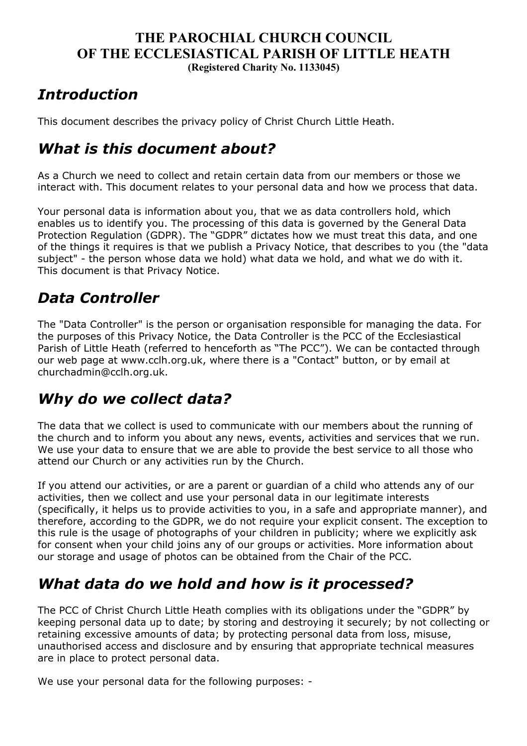#### **THE PAROCHIAL CHURCH COUNCIL OF THE ECCLESIASTICAL PARISH OF LITTLE HEATH (Registered Charity No. 1133045)**

## *Introduction*

This document describes the privacy policy of Christ Church Little Heath.

## *What is this document about?*

As a Church we need to collect and retain certain data from our members or those we interact with. This document relates to your personal data and how we process that data.

Your personal data is information about you, that we as data controllers hold, which enables us to identify you. The processing of this data is governed by the General Data Protection Regulation (GDPR). The "GDPR" dictates how we must treat this data, and one of the things it requires is that we publish a Privacy Notice, that describes to you (the "data subject" - the person whose data we hold) what data we hold, and what we do with it. This document is that Privacy Notice.

## *Data Controller*

The "Data Controller" is the person or organisation responsible for managing the data. For the purposes of this Privacy Notice, the Data Controller is the PCC of the Ecclesiastical Parish of Little Heath (referred to henceforth as "The PCC"). We can be contacted through our web page at www.cclh.org.uk, where there is a "Contact" button, or by email at churchadmin@cclh.org.uk.

# *Why do we collect data?*

The data that we collect is used to communicate with our members about the running of the church and to inform you about any news, events, activities and services that we run. We use your data to ensure that we are able to provide the best service to all those who attend our Church or any activities run by the Church.

If you attend our activities, or are a parent or guardian of a child who attends any of our activities, then we collect and use your personal data in our legitimate interests (specifically, it helps us to provide activities to you, in a safe and appropriate manner), and therefore, according to the GDPR, we do not require your explicit consent. The exception to this rule is the usage of photographs of your children in publicity; where we explicitly ask for consent when your child joins any of our groups or activities. More information about our storage and usage of photos can be obtained from the Chair of the PCC.

# *What data do we hold and how is it processed?*

The PCC of Christ Church Little Heath complies with its obligations under the "GDPR" by keeping personal data up to date; by storing and destroying it securely; by not collecting or retaining excessive amounts of data; by protecting personal data from loss, misuse, unauthorised access and disclosure and by ensuring that appropriate technical measures are in place to protect personal data.

We use your personal data for the following purposes: -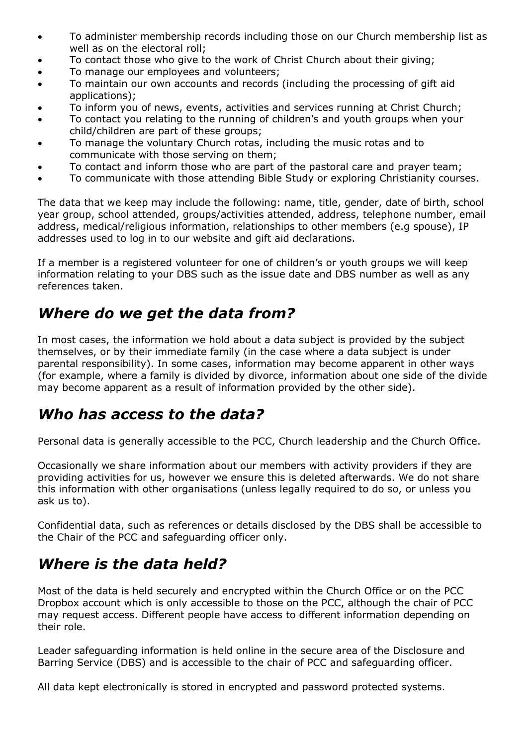- To administer membership records including those on our Church membership list as well as on the electoral roll;
- To contact those who give to the work of Christ Church about their giving;
- To manage our employees and volunteers;
- To maintain our own accounts and records (including the processing of gift aid applications);
- To inform you of news, events, activities and services running at Christ Church;
- To contact you relating to the running of children's and youth groups when your child/children are part of these groups;
- To manage the voluntary Church rotas, including the music rotas and to communicate with those serving on them;
- To contact and inform those who are part of the pastoral care and prayer team;
- To communicate with those attending Bible Study or exploring Christianity courses.

The data that we keep may include the following: name, title, gender, date of birth, school year group, school attended, groups/activities attended, address, telephone number, email address, medical/religious information, relationships to other members (e.g spouse), IP addresses used to log in to our website and gift aid declarations.

If a member is a registered volunteer for one of children's or youth groups we will keep information relating to your DBS such as the issue date and DBS number as well as any references taken.

## *Where do we get the data from?*

In most cases, the information we hold about a data subject is provided by the subject themselves, or by their immediate family (in the case where a data subject is under parental responsibility). In some cases, information may become apparent in other ways (for example, where a family is divided by divorce, information about one side of the divide may become apparent as a result of information provided by the other side).

#### *Who has access to the data?*

Personal data is generally accessible to the PCC, Church leadership and the Church Office.

Occasionally we share information about our members with activity providers if they are providing activities for us, however we ensure this is deleted afterwards. We do not share this information with other organisations (unless legally required to do so, or unless you ask us to).

Confidential data, such as references or details disclosed by the DBS shall be accessible to the Chair of the PCC and safeguarding officer only.

# *Where is the data held?*

Most of the data is held securely and encrypted within the Church Office or on the PCC Dropbox account which is only accessible to those on the PCC, although the chair of PCC may request access. Different people have access to different information depending on their role.

Leader safeguarding information is held online in the secure area of the Disclosure and Barring Service (DBS) and is accessible to the chair of PCC and safeguarding officer.

All data kept electronically is stored in encrypted and password protected systems.